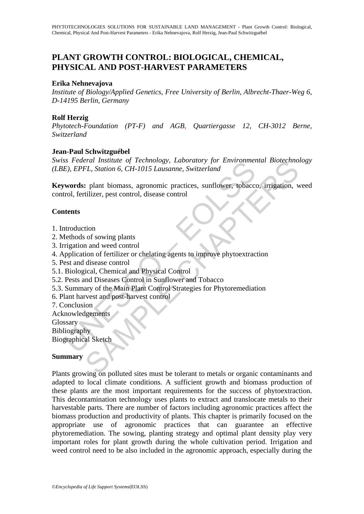# **PLANT GROWTH CONTROL: BIOLOGICAL, CHEMICAL, PHYSICAL AND POST-HARVEST PARAMETERS**

### **Erika Nehnevajova**

*Institute of Biology/Applied Genetics, Free University of Berlin, Albrecht-Thaer-Weg 6, D-14195 Berlin, Germany* 

# **Rolf Herzig**

*Phytotech-Foundation (PT-F) and AGB, Quartiergasse 12, CH-3012 Berne, Switzerland* 

## **Jean-Paul Schwitzguébel**

*Swiss Federal Institute of Technology, Laboratory for Environmental Biotechnology (LBE), EPFL, Station 6, CH-1015 Lausanne, Switzerland*

So Federal Institute of Technology, Laboratory for Environment<br>E), EPFL, Station 6, CH-1015 Lausanne, Switzerland<br> **words:** plant biomass, agronomic practices, sunflower, tobaccurol, fertilizer, pest control, disease contr Frame Institute of Technology, Laboratory for Environmental Biotecnno<br>
FL, Station 6, CH-1015 Lausanne, Switzerland<br>
1. plant biomass, agronomic practices, sunflower, tobacco, irrigation, verificien, pest control, disease **Keywords:** plant biomass, agronomic practices, sunflower, tobacco, irrigation, weed control, fertilizer, pest control, disease control

### **Contents**

- 1. Introduction
- 2. Methods of sowing plants
- 3. Irrigation and weed control
- 4. Application of fertilizer or chelating agents to improve phytoextraction
- 5. Pest and disease control
- 5.1. Biological, Chemical and Physical Control
- 5.2. Pests and Diseases Control in Sunflower and Tobacco
- 5.3. Summary of the Main Plant Control Strategies for Phytoremediation
- 6. Plant harvest and post-harvest control
- 7. Conclusion

Acknowledgements

Glossary

Bibliography

Biographical Sketch

### **Summary**

Plants growing on polluted sites must be tolerant to metals or organic contaminants and adapted to local climate conditions. A sufficient growth and biomass production of these plants are the most important requirements for the success of phytoextraction. This decontamination technology uses plants to extract and translocate metals to their harvestable parts. There are number of factors including agronomic practices affect the biomass production and productivity of plants. This chapter is primarily focused on the appropriate use of agronomic practices that can guarantee an effective phytoremediation. The sowing, planting strategy and optimal plant density play very important roles for plant growth during the whole cultivation period. Irrigation and weed control need to be also included in the agronomic approach, especially during the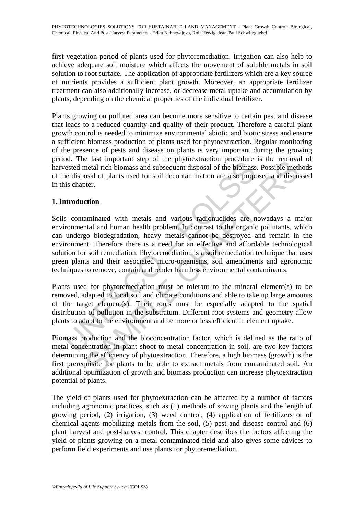first vegetation period of plants used for phytoremediation. Irrigation can also help to achieve adequate soil moisture which affects the movement of soluble metals in soil solution to root surface. The application of appropriate fertilizers which are a key source of nutrients provides a sufficient plant growth. Moreover, an appropriate fertilizer treatment can also additionally increase, or decrease metal uptake and accumulation by plants, depending on the chemical properties of the individual fertilizer.

Plants growing on polluted area can become more sensitive to certain pest and disease that leads to a reduced quantity and quality of their product. Therefore a careful plant growth control is needed to minimize environmental abiotic and biotic stress and ensure a sufficient biomass production of plants used for phytoextraction. Regular monitoring of the presence of pests and disease on plants is very important during the growing period. The last important step of the phytoextraction procedure is the removal of harvested metal rich biomass and subsequent disposal of the biomass. Possible methods of the disposal of plants used for soil decontamination are also proposed and discussed in this chapter.

# **1. Introduction**

on. The last mippolain deep of the priorincation procedure dested metal rich biomass and subsequent disposal of the biomass<br>he disposal of plants used for soil decontamination are also properties<br>the disposal of plants use The case important such of the phytocaracteron procedure is the centeron and ended rich biomass and subsequent disposal of the biomass. Possible met<br>osal of plants used for soil decontamination are also proposed and discut Soils contaminated with metals and various radionuclides are nowadays a major environmental and human health problem. In contrast to the organic pollutants, which can undergo biodegradation, heavy metals cannot be destroyed and remain in the environment. Therefore there is a need for an effective and affordable technological solution for soil remediation. Phytoremediation is a soil remediation technique that uses green plants and their associated micro-organisms, soil amendments and agronomic techniques to remove, contain and render harmless environmental contaminants.

Plants used for phytoremediation must be tolerant to the mineral element(s) to be removed, adapted to local soil and climate conditions and able to take up large amounts of the target element(s). Their roots must be especially adapted to the spatial distribution of pollution in the substratum. Different root systems and geometry allow plants to adapt to the environment and be more or less efficient in element uptake.

Biomass production and the bioconcentration factor, which is defined as the ratio of metal concentration in plant shoot to metal concentration in soil, are two key factors determining the efficiency of phytoextraction. Therefore, a high biomass (growth) is the first prerequisite for plants to be able to extract metals from contaminated soil. An additional optimization of growth and biomass production can increase phytoextraction potential of plants.

The yield of plants used for phytoextraction can be affected by a number of factors including agronomic practices, such as (1) methods of sowing plants and the length of growing period, (2) irrigation, (3) weed control, (4) application of fertilizers or of chemical agents mobilizing metals from the soil, (5) pest and disease control and (6) plant harvest and post-harvest control. This chapter describes the factors affecting the yield of plants growing on a metal contaminated field and also gives some advices to perform field experiments and use plants for phytoremediation.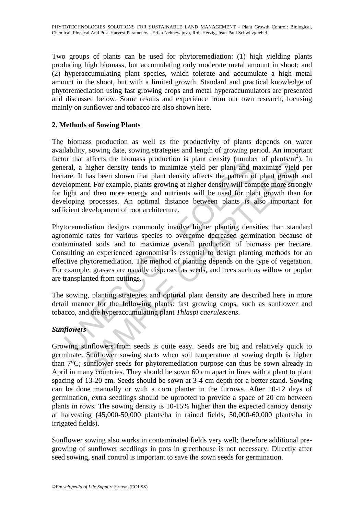Two groups of plants can be used for phytoremediation: (1) high yielding plants producing high biomass, but accumulating only moderate metal amount in shoot; and (2) hyperaccumulating plant species, which tolerate and accumulate a high metal amount in the shoot, but with a limited growth. Standard and practical knowledge of phytoremediation using fast growing crops and metal hyperaccumulators are presented and discussed below. Some results and experience from our own research, focusing mainly on sunflower and tobacco are also shown here.

# **2. Methods of Sowing Plants**

The biomass production as well as the productivity of plants depends on water availability, sowing date, sowing strategies and length of growing period. An important factor that affects the biomass production is plant density (number of plants/ $m<sup>2</sup>$ ). In general, a higher density tends to minimize yield per plant and maximize yield per hectare. It has been shown that plant density affects the pattern of plant growth and development. For example, plants growing at higher density will compete more strongly for light and then more energy and nutrients will be used for plant growth than for developing processes. An optimal distance between plants is also important for sufficient development of root architecture.

or that cureos the oliminals production is plant curling that current and the rail, a higher density tends to minimize yield per plant and mare. It has been shown that plant density affects the pattern of elopment. For exa arces are boundas production is puant censity (unafrom the figher density tends to minimize yield per plant and maximize yield has been shown that plant density affects the pattern of plant growth that. For example, plants Phytoremediation designs commonly involve higher planting densities than standard agronomic rates for various species to overcome decreased germination because of contaminated soils and to maximize overall production of biomass per hectare. Consulting an experienced agronomist is essential to design planting methods for an effective phytoremediation. The method of planting depends on the type of vegetation. For example, grasses are usually dispersed as seeds, and trees such as willow or poplar are transplanted from cuttings.

The sowing, planting strategies and optimal plant density are described here in more detail manner for the following plants: fast growing crops, such as sunflower and tobacco, and the hyperaccumulating plant *Thlaspi caerulescens*.

# *Sunflowers*

Growing sunflowers from seeds is quite easy. Seeds are big and relatively quick to germinate. Sunflower sowing starts when soil temperature at sowing depth is higher than 7°C; sunflower seeds for phytoremediation purpose can thus be sown already in April in many countries. They should be sown 60 cm apart in lines with a plant to plant spacing of 13-20 cm. Seeds should be sown at 3-4 cm depth for a better stand. Sowing can be done manually or with a corn planter in the furrows. After 10-12 days of germination, extra seedlings should be uprooted to provide a space of 20 cm between plants in rows. The sowing density is 10-15% higher than the expected canopy density at harvesting (45,000-50,000 plants/ha in rained fields, 50,000-60,000 plants/ha in irrigated fields).

Sunflower sowing also works in contaminated fields very well; therefore additional pregrowing of sunflower seedlings in pots in greenhouse is not necessary. Directly after seed sowing, snail control is important to save the sown seeds for germination.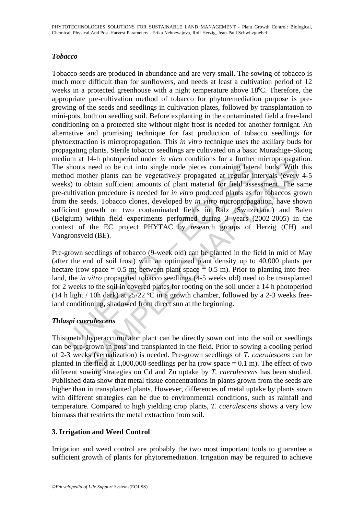# *Tobacco*

whom at 11 a parademant and the medical maternal and the presentations of a random subsols need to be cut into single node pieces containing later hold mother plants can be vegetatively propagated at regular in ks) to obt <sup>14</sup>+1 photoparol unced *in vino* containing or a radius of each object that in the conditions of a radius of plant material for field assessment. The search of the plant scale of or *in virro* produced plants and be vege Tobacco seeds are produced in abundance and are very small. The sowing of tobacco is much more difficult than for sunflowers, and needs at least a cultivation period of 12 weeks in a protected greenhouse with a night temperature above  $18^{\circ}$ C. Therefore, the appropriate pre-cultivation method of tobacco for phytoremediation purpose is pregrowing of the seeds and seedlings in cultivation plates, followed by transplantation to mini-pots, both on seedling soil. Before explanting in the contaminated field a free-land conditioning on a protected site without night frost is needed for another fortnight. An alternative and promising technique for fast production of tobacco seedlings for phytoextraction is micropropagation. This *in vitro* technique uses the axillary buds for propagating plants. Sterile tobacco seedlings are cultivated on a basic Murashige-Skoog medium at 14-h photoperiod under *in vitro* conditions for a further micropropagation. The shoots need to be cut into single node pieces containing lateral buds. With this method mother plants can be vegetatively propagated at regular intervals (every 4-5 weeks) to obtain sufficient amounts of plant material for field assessment. The same pre-cultivation procedure is needed for *in vitro* produced plants as for tobaccos grown from the seeds. Tobacco clones, developed by *in vitro* micropropagation, have shown sufficient growth on two contaminated fields in Rafz (Switzerland) and Balen (Belgium) within field experiments performed during 3 years (2002-2005) in the context of the EC project PHYTAC by research groups of Herzig (CH) and Vangronsveld (BE).

Pre-grown seedlings of tobacco (9-week old) can be planted in the field in mid of May (after the end of soil frost) with an optimized plant density up to 40,000 plants per hectare (row space  $= 0.5$  m; between plant space  $= 0.5$  m). Prior to planting into freeland, the *in vitro* propagated tobacco seedlings (4-5 weeks old) need to be transplanted for 2 weeks to the soil in covered plates for rooting on the soil under a 14 h photoperiod (14 h light / 10h dark) at  $25/22$  °C in a growth chamber, followed by a 2-3 weeks freeland conditioning, shadowed from direct sun at the beginning.

# *Thlaspi caerulescens*

This metal hyperaccumulator plant can be directly sown out into the soil or seedlings can be pre-grown in pots and transplanted in the field. Prior to sowing a cooling period of 2-3 weeks (vernalization) is needed. Pre-grown seedlings of *T. caerulescens* can be planted in the field at  $1,000,000$  seedlings per ha (row space  $= 0.1$  m). The effect of two different sowing strategies on Cd and Zn uptake by *T. caerulescens* has been studied. Published data show that metal tissue concentrations in plants grown from the seeds are higher than in transplanted plants. However, differences of metal uptake by plants sown with different strategies can be due to environmental conditions, such as rainfall and temperature. Compared to high yielding crop plants, *T. caerulescens* shows a very low biomass that restricts the metal extraction from soil.

# **3. Irrigation and Weed Control**

Irrigation and weed control are probably the two most important tools to guarantee a sufficient growth of plants for phytoremediation. Irrigation may be required to achieve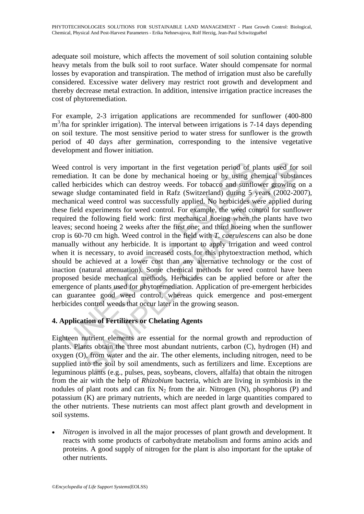adequate soil moisture, which affects the movement of soil solution containing soluble heavy metals from the bulk soil to root surface. Water should compensate for normal losses by evaporation and transpiration. The method of irrigation must also be carefully considered. Excessive water delivery may restrict root growth and development and thereby decrease metal extraction. In addition, intensive irrigation practice increases the cost of phytoremediation.

For example, 2-3 irrigation applications are recommended for sunflower (400-800 m<sup>3</sup>/ha for sprinkler irrigation). The interval between irrigations is 7-14 days depending on soil texture. The most sensitive period to water stress for sunflower is the growth period of 40 days after germination, corresponding to the intensive vegetative development and flower initiation.

ed control is very important in the first vegetation period of p<br>ediation. It can be done by mechanical hoeing or by using et<br>ed herbicides which can destroy weeds. For tobacco and sunflo<br>age sludge contaminated field in R rol is very important in the first vegetation period of plants used for<br>on. It can be done by mechanical hoeing or by using chemical substa<br>oicides which can destroy weeds. For tobacco and sumflower growing<br>dege contaminat Weed control is very important in the first vegetation period of plants used for soil remediation. It can be done by mechanical hoeing or by using chemical substances called herbicides which can destroy weeds. For tobacco and sunflower growing on a sewage sludge contaminated field in Rafz (Switzerland) during 5 years (2002-2007), mechanical weed control was successfully applied. No herbicides were applied during these field experiments for weed control. For example, the weed control for sunflower required the following field work: first mechanical hoeing when the plants have two leaves; second hoeing 2 weeks after the first one; and third hoeing when the sunflower crop is 60-70 cm high. Weed control in the field with *T. caerulescens* can also be done manually without any herbicide. It is important to apply irrigation and weed control when it is necessary, to avoid increased costs for this phytoextraction method, which should be achieved at a lower cost than any alternative technology or the cost of inaction (natural attenuation). Some chemical methods for weed control have been proposed beside mechanical methods. Herbicides can be applied before or after the emergence of plants used for phytoremediation. Application of pre-emergent herbicides can guarantee good weed control, whereas quick emergence and post-emergent herbicides control weeds that occur later in the growing season.

# **4. Application of Fertilizers or Chelating Agents**

Eighteen nutrient elements are essential for the normal growth and reproduction of plants. Plants obtain the three most abundant nutrients, carbon (C), hydrogen (H) and oxygen (O), from water and the air. The other elements, including nitrogen, need to be supplied into the soil by soil amendments, such as fertilizers and lime. Exceptions are leguminous plants (e.g., pulses, peas, soybeans, clovers, alfalfa) that obtain the nitrogen from the air with the help of *Rhizobium* bacteria, which are living in symbiosis in the nodules of plant roots and can fix  $N_2$  from the air. Nitrogen (N), phosphorus (P) and potassium (K) are primary nutrients, which are needed in large quantities compared to the other nutrients. These nutrients can most affect plant growth and development in soil systems.

*Nitrogen* is involved in all the major processes of plant growth and development. It reacts with some products of carbohydrate metabolism and forms amino acids and proteins. A good supply of nitrogen for the plant is also important for the uptake of other nutrients.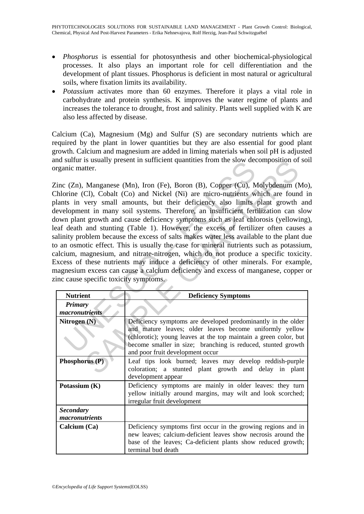- *Phosphorus* is essential for photosynthesis and other biochemical-physiological processes. It also plays an important role for cell differentiation and the development of plant tissues. Phosphorus is deficient in most natural or agricultural soils, where fixation limits its availability.
- *Potassium* activates more than 60 enzymes. Therefore it plays a vital role in carbohydrate and protein synthesis. K improves the water regime of plants and increases the tolerance to drought, frost and salinity. Plants well supplied with K are also less affected by disease.

Calcium (Ca), Magnesium (Mg) and Sulfur (S) are secondary nutrients which are required by the plant in lower quantities but they are also essential for good plant growth. Calcium and magnesium are added in liming materials when soil pH is adjusted and sulfur is usually present in sufficient quantities from the slow decomposition of soil organic matter.

Surfar is usdany present in surface the standardies from the slow det<br>nic matter.<br>
(Zn), Manganese (Mn), Iron (Fe), Boron (B), Copper (Cu), Norine (Cl), Cobalt (Co) and Nickel (Ni) are micro-nutrients w<br>
ts in very small a In Manganese (Mn), Iron (Fe), Boron (B), Copper (Cu), Molybdenum (1<br>
ter.<br>
Manganese (Mn), Iron (Fe), Boron (B), Copper (Cu), Molybdenum (1<br>
Cl), Cobalt (Co) and Nickel (Ni) are micro-numients which are found<br>
very small a Zinc (Zn), Manganese (Mn), Iron (Fe), Boron (B), Copper (Cu), Molybdenum (Mo), Chlorine (Cl), Cobalt (Co) and Nickel (Ni) are micro-nutrients which are found in plants in very small amounts, but their deficiency also limits plant growth and development in many soil systems. Therefore, an insufficient fertilization can slow down plant growth and cause deficiency symptoms such as leaf chlorosis (yellowing), leaf death and stunting (Table 1). However, the excess of fertilizer often causes a salinity problem because the excess of salts makes water less available to the plant due to an osmotic effect. This is usually the case for mineral nutrients such as potassium, calcium, magnesium, and nitrate-nitrogen, which do not produce a specific toxicity. Excess of these nutrients may induce a deficiency of other minerals. For example, magnesium excess can cause a calcium deficiency and excess of manganese, copper or zinc cause specific toxicity symptoms.

| <b>Nutrient</b>                    |                                                                                                                                                                                                                                                                                                 |
|------------------------------------|-------------------------------------------------------------------------------------------------------------------------------------------------------------------------------------------------------------------------------------------------------------------------------------------------|
|                                    | <b>Deficiency Symptoms</b>                                                                                                                                                                                                                                                                      |
| <b>Primary</b>                     |                                                                                                                                                                                                                                                                                                 |
| macronutrients                     |                                                                                                                                                                                                                                                                                                 |
| Nitrogen (N)                       | Deficiency symptoms are developed predominantly in the older<br>and mature leaves; older leaves become uniformly yellow<br>(chlorotic); young leaves at the top maintain a green color, but<br>become smaller in size; branching is reduced, stunted growth<br>and poor fruit development occur |
| Phosphorus (P)                     | Leaf tips look burned; leaves may develop reddish-purple<br>coloration; a stunted plant growth and delay in plant<br>development appear                                                                                                                                                         |
| Potassium $(K)$                    | Deficiency symptoms are mainly in older leaves: they turn<br>yellow initially around margins, may wilt and look scorched;<br>irregular fruit development                                                                                                                                        |
| <b>Secondary</b><br>macronutrients |                                                                                                                                                                                                                                                                                                 |
| Calcium $(Ca)$                     | Deficiency symptoms first occur in the growing regions and in<br>new leaves; calcium-deficient leaves show necrosis around the<br>base of the leaves; Ca-deficient plants show reduced growth;<br>terminal bud death                                                                            |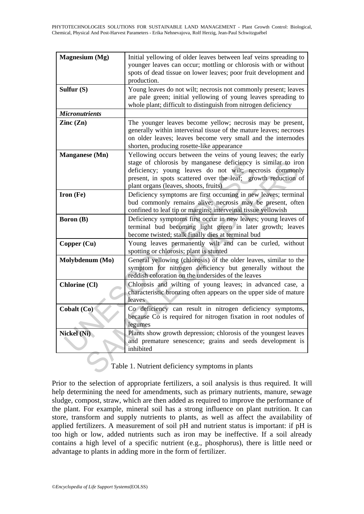| Magnesium (Mg)                                  | Initial yellowing of older leaves between leaf veins spreading to<br>younger leaves can occur; mottling or chlorosis with or without<br>spots of dead tissue on lower leaves; poor fruit development and<br>production.                                                                              |
|-------------------------------------------------|------------------------------------------------------------------------------------------------------------------------------------------------------------------------------------------------------------------------------------------------------------------------------------------------------|
| Sulfur $(S)$                                    | Young leaves do not wilt; necrosis not commonly present; leaves<br>are pale green; initial yellowing of young leaves spreading to<br>whole plant; difficult to distinguish from nitrogen deficiency                                                                                                  |
| <b>Micronutrients</b>                           |                                                                                                                                                                                                                                                                                                      |
| $\text{Zinc}(\text{Zn})$                        | The younger leaves become yellow; necrosis may be present,<br>generally within interveinal tissue of the mature leaves; necroses<br>on older leaves; leaves become very small and the internodes<br>shorten, producing rosette-like appearance                                                       |
| <b>Manganese</b> (Mn)                           | Yellowing occurs between the veins of young leaves; the early<br>stage of chlorosis by manganese deficiency is similar to iron<br>deficiency; young leaves do not wilt; necrosis commonly<br>present, in spots scattered over the leaf; growth reduction of<br>plant organs (leaves, shoots, fruits) |
| $Iron (Fe)$                                     | Deficiency symptoms are first occurring in new leaves; terminal<br>bud commonly remains alive; necrosis may be present, often<br>confined to leaf tip or margins; interveinal tissue yellowish                                                                                                       |
| <b>Boron</b> (B)                                | Deficiency symptoms first occur in new leaves; young leaves of<br>terminal bud becoming light green in later growth; leaves<br>become twisted; stalk finally dies at terminal bud                                                                                                                    |
| Copper (Cu)                                     | Young leaves permanently wilt and can be curled, without<br>spotting or chlorosis; plant is stunted                                                                                                                                                                                                  |
| Molybdenum (Mo)                                 | General yellowing (chlorosis) of the older leaves, similar to the<br>symptom for nitrogen deficiency but generally without the<br>reddish coloration on the undersides of the leaves                                                                                                                 |
| <b>Chlorine (Cl)</b>                            | Chlorosis and wilting of young leaves; in advanced case, a<br>characteristic bronzing often appears on the upper side of mature<br>leaves                                                                                                                                                            |
| Cobalt (Co)                                     | Co deficiency can result in nitrogen deficiency symptoms,<br>because Co is required for nitrogen fixation in root nodules of<br>legumes                                                                                                                                                              |
| <b>Nickel (Ni)</b>                              | Plants show growth depression; chlorosis of the youngest leaves<br>and premature senescence; grains and seeds development is<br>inhibited                                                                                                                                                            |
| Table 1. Nutrient deficiency symptoms in plants |                                                                                                                                                                                                                                                                                                      |

# Table 1. Nutrient deficiency symptoms in plants

Prior to the selection of appropriate fertilizers, a soil analysis is thus required. It will help determining the need for amendments, such as primary nutrients, manure, sewage sludge, compost, straw, which are then added as required to improve the performance of the plant. For example, mineral soil has a strong influence on plant nutrition. It can store, transform and supply nutrients to plants, as well as affect the availability of applied fertilizers. A measurement of soil pH and nutrient status is important: if pH is too high or low, added nutrients such as iron may be ineffective. If a soil already contains a high level of a specific nutrient (e.g., phosphorus), there is little need or advantage to plants in adding more in the form of fertilizer.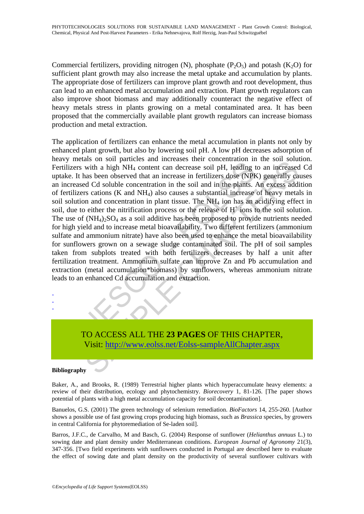Commercial fertilizers, providing nitrogen (N), phosphate  $(P_2O_5)$  and potash  $(K_2O)$  for sufficient plant growth may also increase the metal uptake and accumulation by plants. The appropriate dose of fertilizers can improve plant growth and root development, thus can lead to an enhanced metal accumulation and extraction. Plant growth regulators can also improve shoot biomass and may additionally counteract the negative effect of heavy metals stress in plants growing on a metal contaminated area. It has been proposed that the commercially available plant growth regulators can increase biomass production and metal extraction.

The mass of some parameters and menteness entired and the visital direct state of the visitive state of the contentration in the soil pH, leading the contents of CNPh and the plants. Artilizers cations (K and NH<sub>4</sub>) also as on sor particles and interests that increase is the concurration of interest and with a high NH<sub>4</sub> content can decrease soil pH, leading to an increased as been observed that an increase in fertilizers dose (NPK) gener The application of fertilizers can enhance the metal accumulation in plants not only by enhanced plant growth, but also by lowering soil pH. A low pH decreases adsorption of heavy metals on soil particles and increases their concentration in the soil solution. Fertilizers with a high NH4 content can decrease soil pH, leading to an increased Cd uptake. It has been observed that an increase in fertilizers dose (NPK) generally causes an increased Cd soluble concentration in the soil and in the plants. An excess addition of fertilizers cations (K and NH4) also causes a substantial increase of heavy metals in soil solution and concentration in plant tissue. The NH4 ion has an acidifying effect in soil, due to either the nitrification process or the release of  $H^+$  ions to the soil solution. The use of  $(NH_4)$ <sub>2</sub>SO<sub>4</sub> as a soil additive has been proposed to provide nutrients needed for high yield and to increase metal bioavailability. Two different fertilizers (ammonium sulfate and ammonium nitrate) have also been used to enhance the metal bioavailability for sunflowers grown on a sewage sludge contaminated soil. The pH of soil samples taken from subplots treated with both fertilizers decreases by half a unit after fertilization treatment. Ammonium sulfate can improve Zn and Pb accumulation and extraction (metal accumulation\*biomass) by sunflowers, whereas ammonium nitrate leads to an enhanced Cd accumulation and extraction.

TO ACCESS ALL THE **23 PAGES** OF THIS CHAPTER, Visit: http://www.eolss.net/Eolss-sampleAllChapter.aspx

#### **Bibliography**

- - -

Baker, A., and Brooks, R. (1989) Terrestrial higher plants which hyperaccumulate heavy elements: a review of their distribution, ecology and phytochemistry. *Biorecovery* 1, 81-126. [The paper shows potential of plants with a high metal accumulation capacity for soil decontamination].

Banuelos, G.S. (2001) The green technology of selenium remediation. *BioFactors* 14, 255-260. [Author shows a possible use of fast growing crops producing high biomass, such as *Brassica* species, by growers in central California for phytoremediation of Se-laden soil].

Barros, J.F.C., de Carvalho, M and Basch, G. (2004) Response of sunflower (*Helianthus annuus* L.) to sowing date and plant density under Mediterranean conditions. *European Journal of Agronomy* 21(3), 347-356. [Two field experiments with sunflowers conducted in Portugal are described here to evaluate the effect of sowing date and plant density on the productivity of several sunflower cultivars with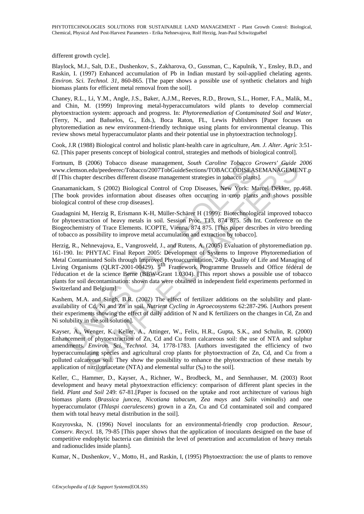different growth cycle].

Blaylock, M.J., Salt, D.E., Dushenkov, S., Zakharova, O., Gussman, C., Kapulnik, Y., Ensley, B.D., and Raskin, I. (1997) Enhanced accumulation of Pb in Indian mustard by soil-applied chelating agents. *Environ. Sci. Technol. 31*, 860-865. [The paper shows a possible use of synthetic chelators and high biomass plants for efficient metal removal from the soil].

Chaney, R.L., Li, Y.M., Angle, J.S., Baker, A.J.M., Reeves, R.D., Brown, S.L., Homer, F.A., Malik, M., and Chin, M. (1999) Improving metal-hyperaccumulators wild plants to develop commercial phytoextraction system: approach and progress. In: *Phytoremediation of Contaminated Soil and Water*, (Terry, N., and Bañuelos, G., Eds.), Boca Raton, FL, Lewis Publishers [Paper focuses on phytoremediation as new environment-friendly technique using plants for environmental cleanup. This review shows metal hyperaccumulator plants and their potential use in phytoextraction technology].

Cook, J.R (1988) Biological control and holistic plant-health care in agriculture, *Am. J. Alter. Agric* 3:51- 62. [This paper presents concept of biological control, strategies and methods of biological control].

Fortnum, B (2006) Tobacco disease management, *South Caroline Tobacco Growers' Guide 2006* www.clemson.edu/peedeerec/Tobacco/2007TobGuideSections/TOBACCODISEASEMANAGEMENT.p df [This chapter describes different disease management strategies in tobacco plants].

Gnanamanickam, S (2002) Biological Control of Crop Diseases, New York: Marcel Dekker, pp.468. [The book provides information about diseases often occurring in crop plants and shows possible biological control of these crop diseases].

Guadagnini M, Herzig R, Erismann K-H, Müller-Schärer H (1999): Biotechnological improved tobacco for phytoextraction of heavy metals in soil. Session Proc. T13, 874 875. 5th Int. Conference on the Biogeochemistry of Trace Elements. ICOPTE, Vienna, 874 875. [This paper describes *in vitro* breeding of tobacco as possibility to improve metal accumulation and extraction by tobacco].

num, B (2006) Tobacco disease management, *South Caroline Tobacco* (*clemon.edu/eegeercTobacco* 2007TobGlueSections/ToBACCODISEAS, hais chapter describes different disease management strategies in tobacco plants anamanicka (2006) Tobacco disease management, *South Caroline Tobacco Growers' Guide* n.edu/pecdecre-Tobacco/2077DoGuideSections/TOBACCODISEASEMENT<br>and Augustere describes different disease management strategies in tobaccODISEASEMEN Herzig, R., Nehnevajova, E., Vangrosveld, J., and Rutens, A. (2005) Evaluation of phytoremediation pp. 161-190. In: PHYTAC Final Report 2005: Development of Systems to Improve Phytoremediation of Metal Contaminated Soils through Improved Phytoaccumulation, 249p. Quality of Life and Managing of Living Organisms (QLRT-2001-00429). 5th Framework Programme Brussels and Office fédéral de l'éducation et de la science Berne (BBW-Grant 1.0304). [This report shows a possible use of tobacco plants for soil decontamination: shown data were obtained in independent field experiments performed in Switzerland and Belgium].

Kashem, M.A. and Singh, B.R. (2002) The effect of fertilizer additions on the solubility and plantavailability of Cd, Ni and Zn in soil. *Nutrient Cycling in Agroecosystems* 62:287-296. [Authors present their experiments showing the effect of daily addition of N and K fertilizers on the changes in Cd, Zn and Ni solubility in the soil solution].

Kayser, A., Wenger, K., Keller, A., Attinger, W., Felix, H.R., Gupta, S.K., and Schulin, R. (2000) Enhancement of phytoextraction of Zn, Cd and Cu from calcareous soil: the use of NTA and sulphur amendments. *Environ. Sci. Technol.* 34, 1778-1783. [Authors investigated the efficiency of two hyperaccumulating species and agricultural crop plants for phytoextraction of Zn, Cd, and Cu from a polluted calcareous soil. They show the possibility to enhance the phytoextraction of these metals by application of nitrilotriacetate (NTA) and elemental sulfur  $(S_8)$  to the soil].

Keller, C., Hammer, D., Kayser, A., Richner, W., Brodbeck, M., and Sennhauser, M. (2003) Root development and heavy metal phytoextraction efficiency: comparison of different plant species in the field. *Plant and Soil* 249: 67-81.[Paper is focused on the uptake and root architecture of various high biomass plants (*Brassica juncea, Nicotiana tabacum, Zea mays* and *Salix viminalis*) and one hyperaccumulator (*Thlaspi caerulescens*) grown in a Zn, Cu and Cd contaminated soil and compared them with total heavy metal distribution in the soil].

Kozyrovska, N. (1996) Novel inoculants for an environmental-friendly crop production. *Resour, Conserv. Recycl.* 18, 79-85 [This paper shows that the application of inoculants designed on the base of competitive endophytic bacteria can diminish the level of penetration and accumulation of heavy metals and radionuclides inside plants].

Kumar, N., Dushenkov, V., Motto, H., and Raskin, I, (1995) Phytoextraction: the use of plants to remove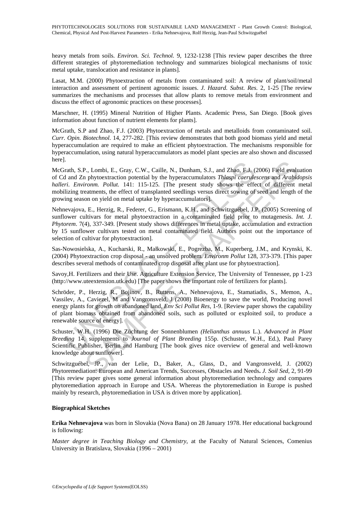heavy metals from soils. *Environ. Sci. Technol.* 9, 1232-1238 [This review paper describes the three different strategies of phytoremediation technology and summarizes biological mechanisms of toxic metal uptake, translocation and resistance in plants].

Lasat, M.M. (2000) Phytoextraction of metals from contaminated soil: A review of plant/soil/metal interaction and assessment of pertinent agronomic issues. *J. Hazard. Subst. Res.* 2, 1-25 [The review summarizes the mechanisms and processes that allow plants to remove metals from environment and discuss the effect of agronomic practices on these processes].

Marschner, H. (1995) Mineral Nutrition of Higher Plants. Academic Press, San Diego. [Book gives information about function of nutrient elements for plants].

McGrath, S.P and Zhao, F.J. (2003) Phytoextraction of metals and metalloids from contaminated soil. *Curr. Opin. Biotechnol*. 14, 277-282. [This review demonstrates that both good biomass yield and metal hyperaccumulation are required to make an efficient phytoextraction. The mechanisms responsible for hyperaccumulation, using natural hyperaccumulators as model plant species are also shown and discussed here].

<sup>1</sup><br>
arath, S.P., Lombi, E., Gray, C.W., Caille, N., Dunham, S.J., and Zhao, F.J. (id and Zn phytocxtraction potential by the hyperaccumulators *Thlaspi caerule*<br>
r.i. *Environm. Pollut.* 141: 115-125. [The present study s P., Lombi, E., Gray, C.W., Caille, N., Dunham, S.J., and Zhao, F.J. (2006) Field evalu<br>
a) phytoextraction potential by the hyperaccumulators *Thlaspi caerulescens* and *Arabid*<br>
romm. Pollut. 141: 115-125. [The present st McGrath, S.P., Lombi, E., Gray, C.W., Caille, N., Dunham, S.J., and Zhao, F.J. (2006) Field evaluation of Cd and Zn phytoextraction potential by the hyperaccumulators *Thlaspi caerulescens* and *Arabidopsis halleri*. *Environm. Pollut.* 141: 115-125. [The present study shows the effect of different metal mobilizing treatments, the effect of transplanted seedlings versus direct sowing of seed and length of the growing season on yield on metal uptake by hyperaccumulators].

Nehnevajova, E., Herzig, R., Federer, G., Erismann, K.H., and Schwitzguébel, J.P. (2005) Screening of sunflower cultivars for metal phytoextraction in a contaminated field prior to mutagenesis. *Int. J. Phytorem.* 7(4), 337-349. [Present study shows differences in metal uptake, accumulation and extraction by 15 sunflower cultivars tested on metal contaminated field. Authors point out the importance of selection of cultivar for phytoextraction].

Sas-Nowosielska, A., Kucharski, R., Małkowski, E., Pogrezba, M., Kuperberg, J.M., and Krynski, K. (2004) Phytoextraction crop disposal - an unsolved problem. *Environm Pollut* 128, 373-379. [This paper describes several methods of contaminated crop disposal after plant use for phytoextraction].

Savoy,H. Fertilizers and their Use. Agriculture Extension Service, The University of Tennessee, pp 1-23 (http://www.uteextension.utk.edu) [The paper shows the important role of fertilizers for plants].

Schröder, P., Herzig, R., Bojinov, B., Ruttens, A., Nehnevajova, E., Stamatiadis, S., Memon, A., Vassilev, A., Caviezel, M and Vangronsveld, J (2008) Bioenergy to save the world, Producing novel energy plants for growth on abandoned land, *Env Sci Pollut Res*, 1-9. [Review paper shows the capability of plant biomass obtained from abandoned soils, such as polluted or exploited soil, to produce a renewable source of energy].

Schuster, W.H. (1996) Die Züchtung der Sonnenblumen *(Helianthus annuus* L.). *Advanced in Plant Breeding* 14, supplements to *Journal of Plant Breeding* 155p. (Schuster, W.H., Ed.), Paul Parey Scientific Publisher, Berlin and Hamburg [The book gives nice overview of general and well-known knowledge about sunflower].

Schwitzguébel, JP., van der Lelie, D., Baker, A., Glass, D., and Vangronsveld, J. (2002) Phytoremediation: European and American Trends, Successes, Obstacles and Needs**.** *J. Soil Sed*, 2, 91-99 [This review paper gives some general information about phytoremediation technology and compares phytoremediation approach in Europe and USA. Whereas the phytoremediation in Europe is pushed mainly by research, phytoremediation in USA is driven more by application].

#### **Biographical Sketches**

**Erika Nehnevajova** was born in Slovakia (Nova Bana) on 28 January 1978. Her educational background is following:

*Master degree in Teaching Biology and Chemistry*, at the Faculty of Natural Sciences, Comenius University in Bratislava, Slovakia (1996 – 2001)